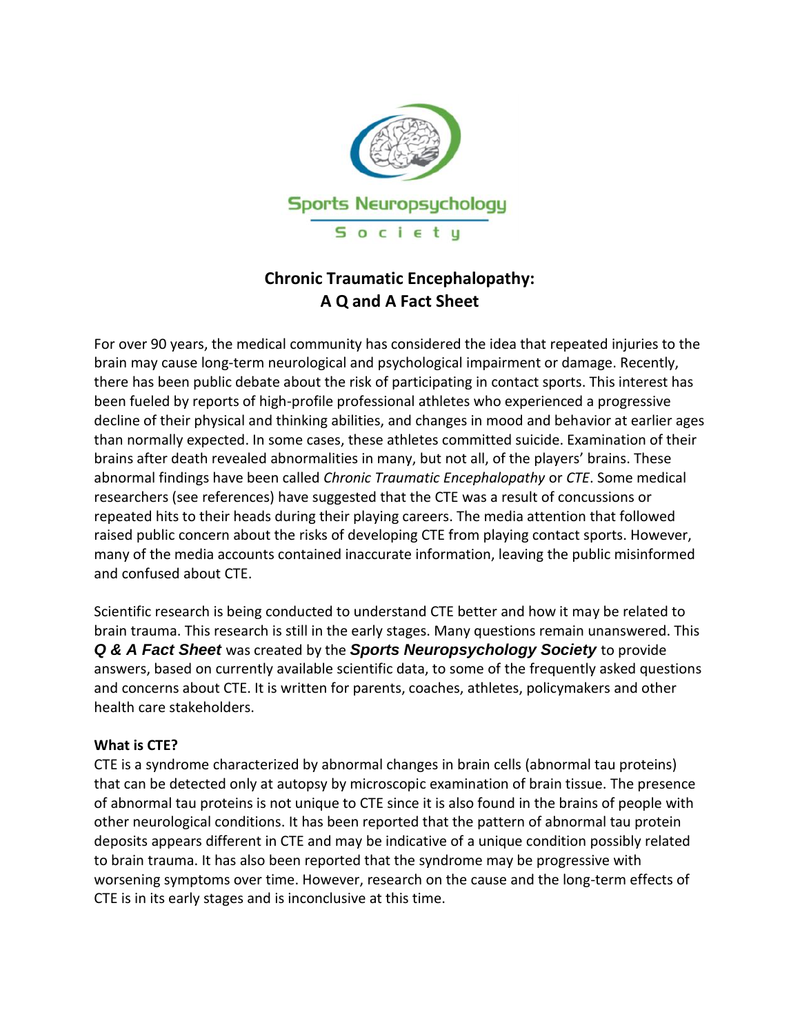

# **Chronic Traumatic Encephalopathy: A Q and A Fact Sheet**

For over 90 years, the medical community has considered the idea that repeated injuries to the brain may cause long-term neurological and psychological impairment or damage. Recently, there has been public debate about the risk of participating in contact sports. This interest has been fueled by reports of high-profile professional athletes who experienced a progressive decline of their physical and thinking abilities, and changes in mood and behavior at earlier ages than normally expected. In some cases, these athletes committed suicide. Examination of their brains after death revealed abnormalities in many, but not all, of the players' brains. These abnormal findings have been called *Chronic Traumatic Encephalopathy* or *CTE*. Some medical researchers (see references) have suggested that the CTE was a result of concussions or repeated hits to their heads during their playing careers. The media attention that followed raised public concern about the risks of developing CTE from playing contact sports. However, many of the media accounts contained inaccurate information, leaving the public misinformed and confused about CTE.

Scientific research is being conducted to understand CTE better and how it may be related to brain trauma. This research is still in the early stages. Many questions remain unanswered. This *Q & A Fact Sheet* was created by the *Sports Neuropsychology Society* to provide answers, based on currently available scientific data, to some of the frequently asked questions and concerns about CTE. It is written for parents, coaches, athletes, policymakers and other health care stakeholders.

### **What is CTE?**

CTE is a syndrome characterized by abnormal changes in brain cells (abnormal tau proteins) that can be detected only at autopsy by microscopic examination of brain tissue. The presence of abnormal tau proteins is not unique to CTE since it is also found in the brains of people with other neurological conditions. It has been reported that the pattern of abnormal tau protein deposits appears different in CTE and may be indicative of a unique condition possibly related to brain trauma. It has also been reported that the syndrome may be progressive with worsening symptoms over time. However, research on the cause and the long-term effects of CTE is in its early stages and is inconclusive at this time.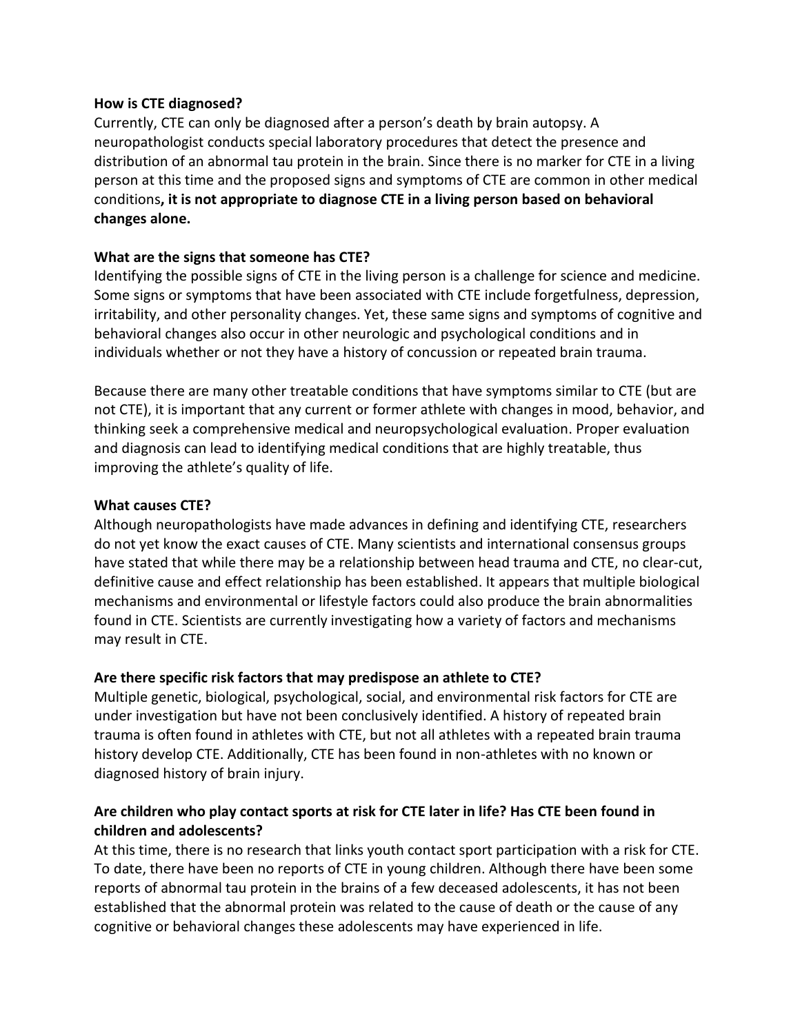#### **How is CTE diagnosed?**

Currently, CTE can only be diagnosed after a person's death by brain autopsy. A neuropathologist conducts special laboratory procedures that detect the presence and distribution of an abnormal tau protein in the brain. Since there is no marker for CTE in a living person at this time and the proposed signs and symptoms of CTE are common in other medical conditions**, it is not appropriate to diagnose CTE in a living person based on behavioral changes alone.**

### **What are the signs that someone has CTE?**

Identifying the possible signs of CTE in the living person is a challenge for science and medicine. Some signs or symptoms that have been associated with CTE include forgetfulness, depression, irritability, and other personality changes. Yet, these same signs and symptoms of cognitive and behavioral changes also occur in other neurologic and psychological conditions and in individuals whether or not they have a history of concussion or repeated brain trauma.

Because there are many other treatable conditions that have symptoms similar to CTE (but are not CTE), it is important that any current or former athlete with changes in mood, behavior, and thinking seek a comprehensive medical and neuropsychological evaluation. Proper evaluation and diagnosis can lead to identifying medical conditions that are highly treatable, thus improving the athlete's quality of life.

### **What causes CTE?**

Although neuropathologists have made advances in defining and identifying CTE, researchers do not yet know the exact causes of CTE. Many scientists and international consensus groups have stated that while there may be a relationship between head trauma and CTE, no clear-cut, definitive cause and effect relationship has been established. It appears that multiple biological mechanisms and environmental or lifestyle factors could also produce the brain abnormalities found in CTE. Scientists are currently investigating how a variety of factors and mechanisms may result in CTE.

### **Are there specific risk factors that may predispose an athlete to CTE?**

Multiple genetic, biological, psychological, social, and environmental risk factors for CTE are under investigation but have not been conclusively identified. A history of repeated brain trauma is often found in athletes with CTE, but not all athletes with a repeated brain trauma history develop CTE. Additionally, CTE has been found in non-athletes with no known or diagnosed history of brain injury.

# **Are children who play contact sports at risk for CTE later in life? Has CTE been found in children and adolescents?**

At this time, there is no research that links youth contact sport participation with a risk for CTE. To date, there have been no reports of CTE in young children. Although there have been some reports of abnormal tau protein in the brains of a few deceased adolescents, it has not been established that the abnormal protein was related to the cause of death or the cause of any cognitive or behavioral changes these adolescents may have experienced in life.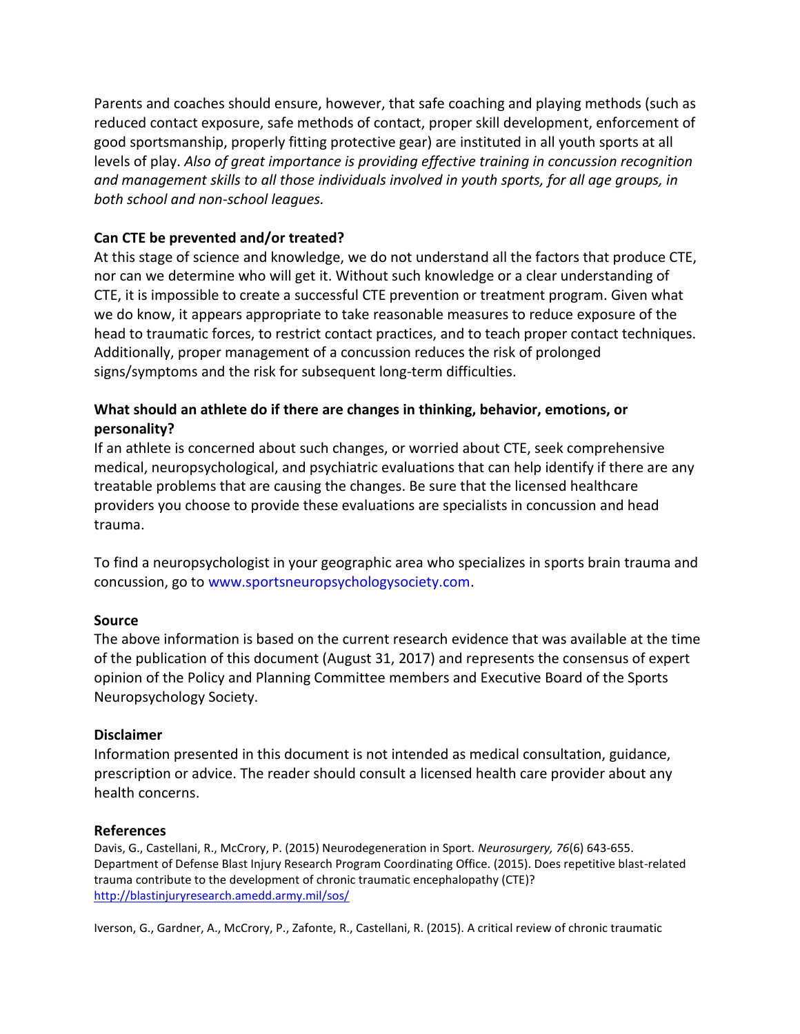Parents and coaches should ensure, however, that safe coaching and playing methods (such as reduced contact exposure, safe methods of contact, proper skill development, enforcement of good sportsmanship, properly fitting protective gear) are instituted in all youth sports at all levels of play. *Also of great importance is providing effective training in concussion recognition and management skills to all those individuals involved in youth sports, for all age groups, in both school and non-school leagues.*

### **Can CTE be prevented and/or treated?**

At this stage of science and knowledge, we do not understand all the factors that produce CTE, nor can we determine who will get it. Without such knowledge or a clear understanding of CTE, it is impossible to create a successful CTE prevention or treatment program. Given what we do know, it appears appropriate to take reasonable measures to reduce exposure of the head to traumatic forces, to restrict contact practices, and to teach proper contact techniques. Additionally, proper management of a concussion reduces the risk of prolonged signs/symptoms and the risk for subsequent long-term difficulties.

## **What should an athlete do if there are changes in thinking, behavior, emotions, or personality?**

If an athlete is concerned about such changes, or worried about CTE, seek comprehensive medical, neuropsychological, and psychiatric evaluations that can help identify if there are any treatable problems that are causing the changes. Be sure that the licensed healthcare providers you choose to provide these evaluations are specialists in concussion and head trauma.

To find a neuropsychologist in your geographic area who specializes in sports brain trauma and concussion, go to www.sportsneuropsychologysociety.com.

### **Source**

The above information is based on the current research evidence that was available at the time of the publication of this document (August 31, 2017) and represents the consensus of expert opinion of the Policy and Planning Committee members and Executive Board of the Sports Neuropsychology Society.

### **Disclaimer**

Information presented in this document is not intended as medical consultation, guidance, prescription or advice. The reader should consult a licensed health care provider about any health concerns.

### **References**

Davis, G., Castellani, R., McCrory, P. (2015) Neurodegeneration in Sport. *Neurosurgery, 76*(6) 643-655. Department of Defense Blast Injury Research Program Coordinating Office. (2015). Does repetitive blast-related trauma contribute to the development of chronic traumatic encephalopathy (CTE)? <http://blastinjuryresearch.amedd.army.mil/sos/>

Iverson, G., Gardner, A., McCrory, P., Zafonte, R., Castellani, R. (2015). A critical review of chronic traumatic